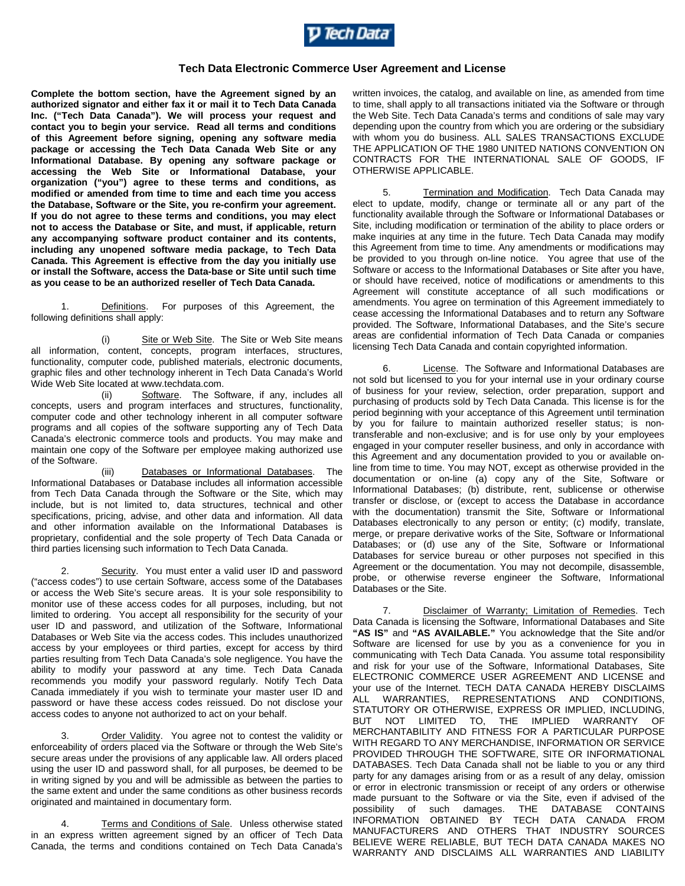

## **Tech Data Electronic Commerce User Agreement and License**

**Complete the bottom section, have the Agreement signed by an authorized signator and either fax it or mail it to Tech Data Canada Inc. ("Tech Data Canada"). We will process your request and contact you to begin your service. Read all terms and conditions of this Agreement before signing, opening any software media package or accessing the Tech Data Canada Web Site or any Informational Database. By opening any software package or accessing the Web Site or Informational Database, your organization ("you") agree to these terms and conditions, as modified or amended from time to time and each time you access the Database, Software or the Site, you re-confirm your agreement. If you do not agree to these terms and conditions, you may elect not to access the Database or Site, and must, if applicable, return any accompanying software product container and its contents, including any unopened software media package, to Tech Data Canada. This Agreement is effective from the day you initially use or install the Software, access the Data-base or Site until such time as you cease to be an authorized reseller of Tech Data Canada.**

1. Definitions. For purposes of this Agreement, the following definitions shall apply:

(i) Site or Web Site. The Site or Web Site means all information, content, concepts, program interfaces, structures, functionality, computer code, published materials, electronic documents, graphic files and other technology inherent in Tech Data Canada's World Wide Web Site located at www.techdata.com.

(ii) Software. The Software, if any, includes all concepts, users and program interfaces and structures, functionality, computer code and other technology inherent in all computer software programs and all copies of the software supporting any of Tech Data Canada's electronic commerce tools and products. You may make and maintain one copy of the Software per employee making authorized use of the Software.

(iii) Databases or Informational Databases. The Informational Databases or Database includes all information accessible from Tech Data Canada through the Software or the Site, which may include, but is not limited to, data structures, technical and other specifications, pricing, advise, and other data and information. All data and other information available on the Informational Databases is proprietary, confidential and the sole property of Tech Data Canada or third parties licensing such information to Tech Data Canada.

2. Security. You must enter a valid user ID and password ("access codes") to use certain Software, access some of the Databases or access the Web Site's secure areas. It is your sole responsibility to monitor use of these access codes for all purposes, including, but not limited to ordering. You accept all responsibility for the security of your user ID and password, and utilization of the Software, Informational Databases or Web Site via the access codes. This includes unauthorized access by your employees or third parties, except for access by third parties resulting from Tech Data Canada's sole negligence. You have the ability to modify your password at any time. Tech Data Canada recommends you modify your password regularly. Notify Tech Data Canada immediately if you wish to terminate your master user ID and password or have these access codes reissued. Do not disclose your access codes to anyone not authorized to act on your behalf.

3. Order Validity. You agree not to contest the validity or enforceability of orders placed via the Software or through the Web Site's secure areas under the provisions of any applicable law. All orders placed using the user ID and password shall, for all purposes, be deemed to be in writing signed by you and will be admissible as between the parties to the same extent and under the same conditions as other business records originated and maintained in documentary form.

4. Terms and Conditions of Sale. Unless otherwise stated in an express written agreement signed by an officer of Tech Data Canada, the terms and conditions contained on Tech Data Canada's

written invoices, the catalog, and available on line, as amended from time to time, shall apply to all transactions initiated via the Software or through the Web Site. Tech Data Canada's terms and conditions of sale may vary depending upon the country from which you are ordering or the subsidiary with whom you do business. ALL SALES TRANSACTIONS EXCLUDE THE APPLICATION OF THE 1980 UNITED NATIONS CONVENTION ON CONTRACTS FOR THE INTERNATIONAL SALE OF GOODS, IF OTHERWISE APPLICABLE.

5. Termination and Modification. Tech Data Canada may elect to update, modify, change or terminate all or any part of the functionality available through the Software or Informational Databases or Site, including modification or termination of the ability to place orders or make inquiries at any time in the future. Tech Data Canada may modify this Agreement from time to time. Any amendments or modifications may be provided to you through on-line notice. You agree that use of the Software or access to the Informational Databases or Site after you have, or should have received, notice of modifications or amendments to this Agreement will constitute acceptance of all such modifications or amendments. You agree on termination of this Agreement immediately to cease accessing the Informational Databases and to return any Software provided. The Software, Informational Databases, and the Site's secure areas are confidential information of Tech Data Canada or companies licensing Tech Data Canada and contain copyrighted information.

6. License. The Software and Informational Databases are not sold but licensed to you for your internal use in your ordinary course of business for your review, selection, order preparation, support and purchasing of products sold by Tech Data Canada. This license is for the period beginning with your acceptance of this Agreement until termination by you for failure to maintain authorized reseller status; is nontransferable and non-exclusive; and is for use only by your employees engaged in your computer reseller business, and only in accordance with this Agreement and any documentation provided to you or available online from time to time. You may NOT, except as otherwise provided in the documentation or on-line (a) copy any of the Site, Software or Informational Databases; (b) distribute, rent, sublicense or otherwise transfer or disclose, or (except to access the Database in accordance with the documentation) transmit the Site, Software or Informational Databases electronically to any person or entity; (c) modify, translate, merge, or prepare derivative works of the Site, Software or Informational Databases; or (d) use any of the Site, Software or Informational Databases for service bureau or other purposes not specified in this Agreement or the documentation. You may not decompile, disassemble, probe, or otherwise reverse engineer the Software, Informational Databases or the Site.

7. Disclaimer of Warranty; Limitation of Remedies. Tech Data Canada is licensing the Software, Informational Databases and Site **"AS IS"** and **"AS AVAILABLE."** You acknowledge that the Site and/or Software are licensed for use by you as a convenience for you in communicating with Tech Data Canada. You assume total responsibility and risk for your use of the Software, Informational Databases, Site ELECTRONIC COMMERCE USER AGREEMENT AND LICENSE and your use of the Internet. TECH DATA CANADA HEREBY DISCLAIMS ALL WARRANTIES, REPRESENTATIONS AND CONDITIONS, STATUTORY OR OTHERWISE, EXPRESS OR IMPLIED, INCLUDING, BUT NOT LIMITED TO, THE IMPLIED WARRANTY OF MERCHANTABILITY AND FITNESS FOR A PARTICULAR PURPOSE WITH REGARD TO ANY MERCHANDISE, INFORMATION OR SERVICE PROVIDED THROUGH THE SOFTWARE, SITE OR INFORMATIONAL DATABASES. Tech Data Canada shall not be liable to you or any third party for any damages arising from or as a result of any delay, omission or error in electronic transmission or receipt of any orders or otherwise made pursuant to the Software or via the Site, even if advised of the possibility of such damages. THE DATABASE CONTAINS INFORMATION OBTAINED BY TECH DATA CANADA FROM MANUFACTURERS AND OTHERS THAT INDUSTRY SOURCES BELIEVE WERE RELIABLE, BUT TECH DATA CANADA MAKES NO WARRANTY AND DISCLAIMS ALL WARRANTIES AND LIABILITY